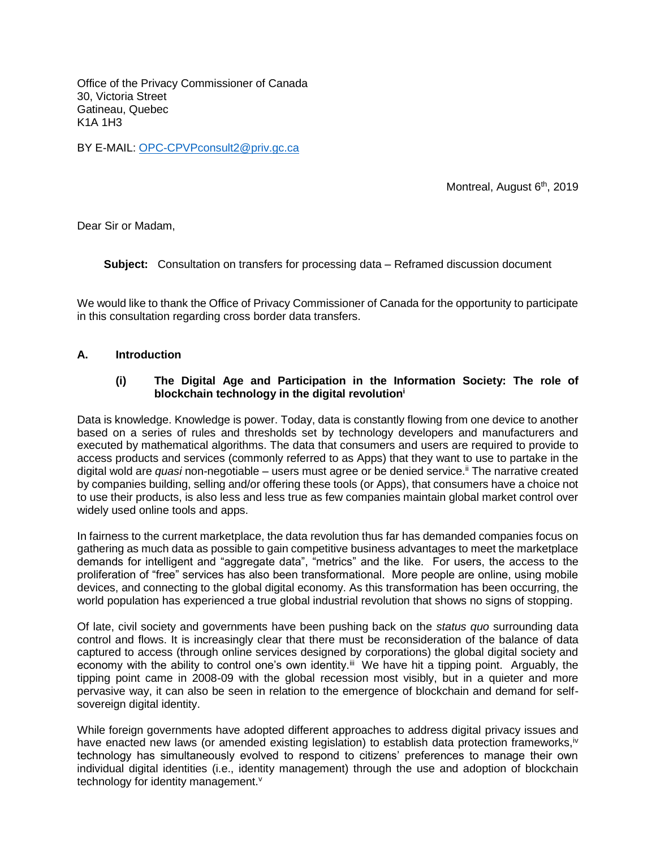Office of the Privacy Commissioner of Canada 30, Victoria Street Gatineau, Quebec K1A 1H3

BY E-MAIL: [OPC-CPVPconsult2@priv.gc.ca](mailto:OPC-CPVPconsult2@priv.gc.ca)

Montreal, August 6<sup>th</sup>, 2019

Dear Sir or Madam,

**Subject:** Consultation on transfers for processing data – Reframed discussion document

We would like to thank the Office of Privacy Commissioner of Canada for the opportunity to participate in this consultation regarding cross border data transfers.

#### **A. Introduction**

#### **(i) The Digital Age and Participation in the Information Society: The role of blockchain technology in the digital revolution<sup>i</sup>**

Data is knowledge. Knowledge is power. Today, data is constantly flowing from one device to another based on a series of rules and thresholds set by technology developers and manufacturers and executed by mathematical algorithms. The data that consumers and users are required to provide to access products and services (commonly referred to as Apps) that they want to use to partake in the digital wold are *quasi* non-negotiable – users must agree or be denied service.<sup>ii</sup> The narrative created by companies building, selling and/or offering these tools (or Apps), that consumers have a choice not to use their products, is also less and less true as few companies maintain global market control over widely used online tools and apps.

In fairness to the current marketplace, the data revolution thus far has demanded companies focus on gathering as much data as possible to gain competitive business advantages to meet the marketplace demands for intelligent and "aggregate data", "metrics" and the like. For users, the access to the proliferation of "free" services has also been transformational. More people are online, using mobile devices, and connecting to the global digital economy. As this transformation has been occurring, the world population has experienced a true global industrial revolution that shows no signs of stopping.

Of late, civil society and governments have been pushing back on the *status quo* surrounding data control and flows. It is increasingly clear that there must be reconsideration of the balance of data captured to access (through online services designed by corporations) the global digital society and economy with the ability to control one's own identity.<sup>iii</sup> We have hit a tipping point. Arguably, the tipping point came in 2008-09 with the global recession most visibly, but in a quieter and more pervasive way, it can also be seen in relation to the emergence of blockchain and demand for selfsovereign digital identity.

While foreign governments have adopted different approaches to address digital privacy issues and have enacted new laws (or amended existing legislation) to establish data protection frameworks,<sup>iv</sup> technology has simultaneously evolved to respond to citizens' preferences to manage their own individual digital identities (i.e., identity management) through the use and adoption of blockchain technology for identity management.<sup>v</sup>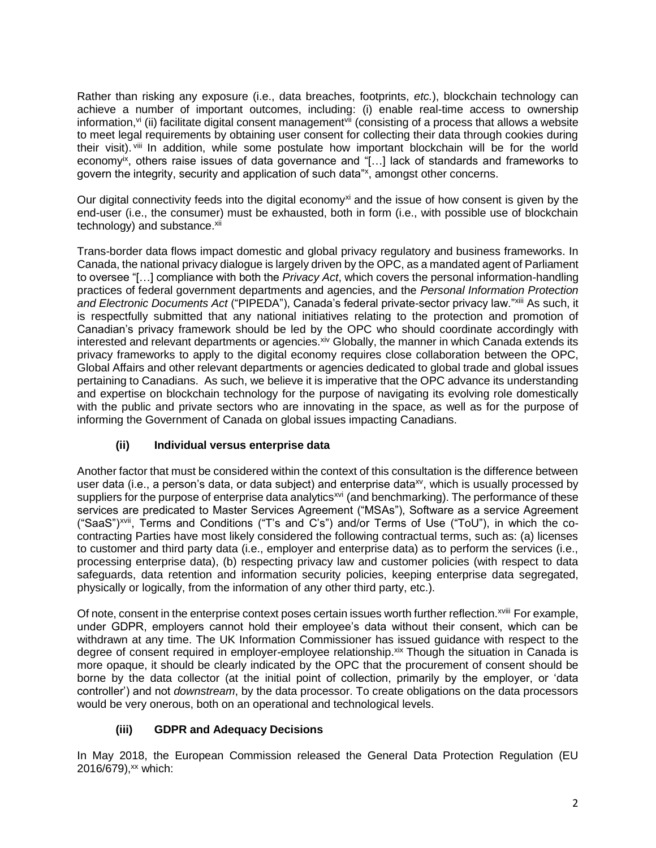Rather than risking any exposure (i.e., data breaches, footprints, *etc.*), blockchain technology can achieve a number of important outcomes, including: (i) enable real-time access to ownership information,<sup>vi</sup> (ii) facilitate digital consent management<sup>vii</sup> (consisting of a process that allows a website to meet legal requirements by obtaining user consent for collecting their data through cookies during their visit). <sup>viii</sup> In addition, while some postulate how important blockchain will be for the world economv<sup>ix</sup>, others raise issues of data governance and "[...] lack of standards and frameworks to govern the integrity, security and application of such data"<sup>x</sup>, amongst other concerns.

Our digital connectivity feeds into the digital economy<sup>xi</sup> and the issue of how consent is given by the end-user (i.e., the consumer) must be exhausted, both in form (i.e., with possible use of blockchain technology) and substance.xii

Trans-border data flows impact domestic and global privacy regulatory and business frameworks. In Canada, the national privacy dialogue is largely driven by the OPC, as a mandated agent of Parliament to oversee "[…] compliance with both the *Privacy Act*, which covers the personal information-handling practices of federal government departments and agencies, and the *Personal Information Protection and Electronic Documents Act* ("PIPEDA"), Canada's federal private-sector privacy law."xiii As such, it is respectfully submitted that any national initiatives relating to the protection and promotion of Canadian's privacy framework should be led by the OPC who should coordinate accordingly with interested and relevant departments or agencies. Xiv Globally, the manner in which Canada extends its privacy frameworks to apply to the digital economy requires close collaboration between the OPC, Global Affairs and other relevant departments or agencies dedicated to global trade and global issues pertaining to Canadians. As such, we believe it is imperative that the OPC advance its understanding and expertise on blockchain technology for the purpose of navigating its evolving role domestically with the public and private sectors who are innovating in the space, as well as for the purpose of informing the Government of Canada on global issues impacting Canadians.

# **(ii) Individual versus enterprise data**

Another factor that must be considered within the context of this consultation is the difference between user data (i.e., a person's data, or data subject) and enterprise data $x<sub>y</sub>$ , which is usually processed by suppliers for the purpose of enterprise data analytics<sup>xvi</sup> (and benchmarking). The performance of these services are predicated to Master Services Agreement ("MSAs"), Software as a service Agreement ("SaaS")xvii, Terms and Conditions ("T's and C's") and/or Terms of Use ("ToU"), in which the cocontracting Parties have most likely considered the following contractual terms, such as: (a) licenses to customer and third party data (i.e., employer and enterprise data) as to perform the services (i.e., processing enterprise data), (b) respecting privacy law and customer policies (with respect to data safeguards, data retention and information security policies, keeping enterprise data segregated, physically or logically, from the information of any other third party, etc.).

Of note, consent in the enterprise context poses certain issues worth further reflection.<sup>xviii</sup> For example, under GDPR, employers cannot hold their employee's data without their consent, which can be withdrawn at any time. The UK Information Commissioner has issued guidance with respect to the degree of consent required in employer-employee relationship. Xix Though the situation in Canada is more opaque, it should be clearly indicated by the OPC that the procurement of consent should be borne by the data collector (at the initial point of collection, primarily by the employer, or 'data controller') and not *downstream*, by the data processor. To create obligations on the data processors would be very onerous, both on an operational and technological levels.

# **(iii) GDPR and Adequacy Decisions**

In May 2018, the European Commission released the General Data Protection Regulation (EU 2016/679),<sup>xx</sup> which: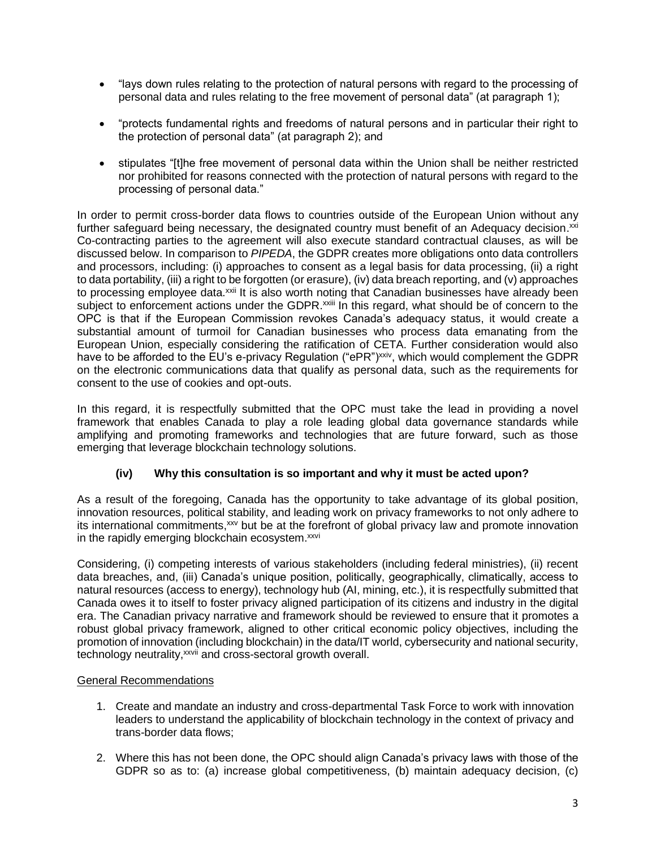- "lays down rules relating to the protection of natural persons with regard to the processing of personal data and rules relating to the free movement of personal data" (at paragraph 1);
- "protects fundamental rights and freedoms of natural persons and in particular their right to the protection of personal data" (at paragraph 2); and
- stipulates "[t]he free movement of personal data within the Union shall be neither restricted nor prohibited for reasons connected with the protection of natural persons with regard to the processing of personal data."

In order to permit cross-border data flows to countries outside of the European Union without any further safeguard being necessary, the designated country must benefit of an Adequacy decision.<sup>xxi</sup> Co-contracting parties to the agreement will also execute standard contractual clauses, as will be discussed below. In comparison to *PIPEDA*, the GDPR creates more obligations onto data controllers and processors, including: (i) approaches to consent as a legal basis for data processing, (ii) a right to data portability, (iii) a right to be forgotten (or erasure), (iv) data breach reporting, and (v) approaches to processing employee data.<sup>xxii</sup> It is also worth noting that Canadian businesses have already been subject to enforcement actions under the GDPR.<sup>xxiii</sup> In this regard, what should be of concern to the OPC is that if the European Commission revokes Canada's adequacy status, it would create a substantial amount of turmoil for Canadian businesses who process data emanating from the European Union, especially considering the ratification of CETA. Further consideration would also have to be afforded to the EU's e-privacy Regulation ("ePR")<sup>xxiv</sup>, which would complement the GDPR on the electronic communications data that qualify as personal data, such as the requirements for consent to the use of cookies and opt-outs.

In this regard, it is respectfully submitted that the OPC must take the lead in providing a novel framework that enables Canada to play a role leading global data governance standards while amplifying and promoting frameworks and technologies that are future forward, such as those emerging that leverage blockchain technology solutions.

# **(iv) Why this consultation is so important and why it must be acted upon?**

As a result of the foregoing, Canada has the opportunity to take advantage of its global position, innovation resources, political stability, and leading work on privacy frameworks to not only adhere to its international commitments,<sup>xxv</sup> but be at the forefront of global privacy law and promote innovation in the rapidly emerging blockchain ecosystem.<sup>xxvi</sup>

Considering, (i) competing interests of various stakeholders (including federal ministries), (ii) recent data breaches, and, (iii) Canada's unique position, politically, geographically, climatically, access to natural resources (access to energy), technology hub (AI, mining, etc.), it is respectfully submitted that Canada owes it to itself to foster privacy aligned participation of its citizens and industry in the digital era. The Canadian privacy narrative and framework should be reviewed to ensure that it promotes a robust global privacy framework, aligned to other critical economic policy objectives, including the promotion of innovation (including blockchain) in the data/IT world, cybersecurity and national security, technology neutrality,<sup>xxvii</sup> and cross-sectoral growth overall.

## General Recommendations

- 1. Create and mandate an industry and cross-departmental Task Force to work with innovation leaders to understand the applicability of blockchain technology in the context of privacy and trans-border data flows;
- 2. Where this has not been done, the OPC should align Canada's privacy laws with those of the GDPR so as to: (a) increase global competitiveness, (b) maintain adequacy decision, (c)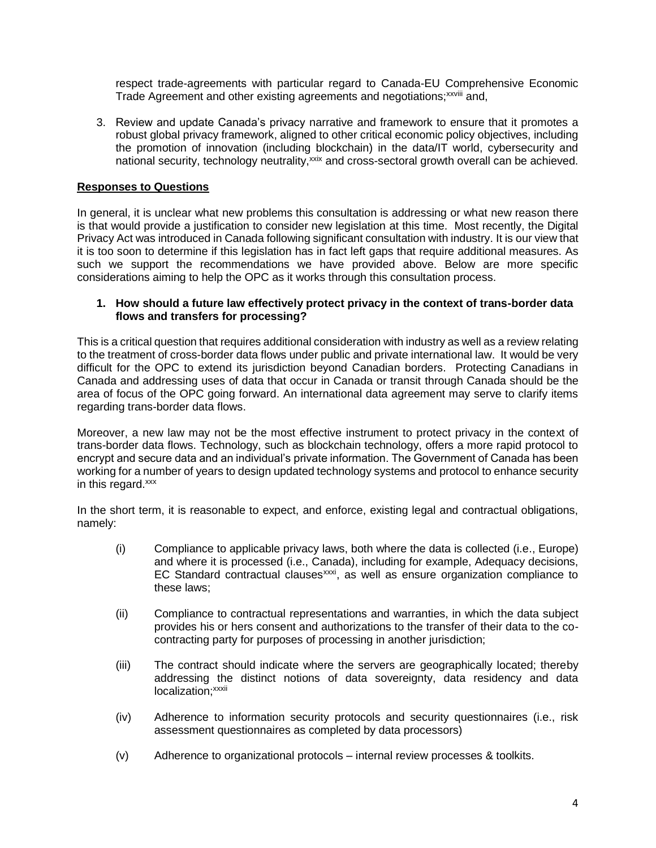respect trade-agreements with particular regard to Canada-EU Comprehensive Economic Trade Agreement and other existing agreements and negotiations;<sup>xxviii</sup> and,

3. Review and update Canada's privacy narrative and framework to ensure that it promotes a robust global privacy framework, aligned to other critical economic policy objectives, including the promotion of innovation (including blockchain) in the data/IT world, cybersecurity and national security, technology neutrality,<sup>xxix</sup> and cross-sectoral growth overall can be achieved.

## **Responses to Questions**

In general, it is unclear what new problems this consultation is addressing or what new reason there is that would provide a justification to consider new legislation at this time. Most recently, the Digital Privacy Act was introduced in Canada following significant consultation with industry. It is our view that it is too soon to determine if this legislation has in fact left gaps that require additional measures. As such we support the recommendations we have provided above. Below are more specific considerations aiming to help the OPC as it works through this consultation process.

#### **1. How should a future law effectively protect privacy in the context of trans-border data flows and transfers for processing?**

This is a critical question that requires additional consideration with industry as well as a review relating to the treatment of cross-border data flows under public and private international law. It would be very difficult for the OPC to extend its jurisdiction beyond Canadian borders. Protecting Canadians in Canada and addressing uses of data that occur in Canada or transit through Canada should be the area of focus of the OPC going forward. An international data agreement may serve to clarify items regarding trans-border data flows.

Moreover, a new law may not be the most effective instrument to protect privacy in the context of trans-border data flows. Technology, such as blockchain technology, offers a more rapid protocol to encrypt and secure data and an individual's private information. The Government of Canada has been working for a number of years to design updated technology systems and protocol to enhance security in this regard.xxx

In the short term, it is reasonable to expect, and enforce, existing legal and contractual obligations, namely:

- (i) Compliance to applicable privacy laws, both where the data is collected (i.e., Europe) and where it is processed (i.e., Canada), including for example, Adequacy decisions, EC Standard contractual clauses<sup>xxxi</sup>, as well as ensure organization compliance to these laws;
- (ii) Compliance to contractual representations and warranties, in which the data subject provides his or hers consent and authorizations to the transfer of their data to the cocontracting party for purposes of processing in another jurisdiction;
- (iii) The contract should indicate where the servers are geographically located; thereby addressing the distinct notions of data sovereignty, data residency and data localization;<sup>xxxii</sup>
- (iv) Adherence to information security protocols and security questionnaires (i.e., risk assessment questionnaires as completed by data processors)
- (v) Adherence to organizational protocols internal review processes & toolkits.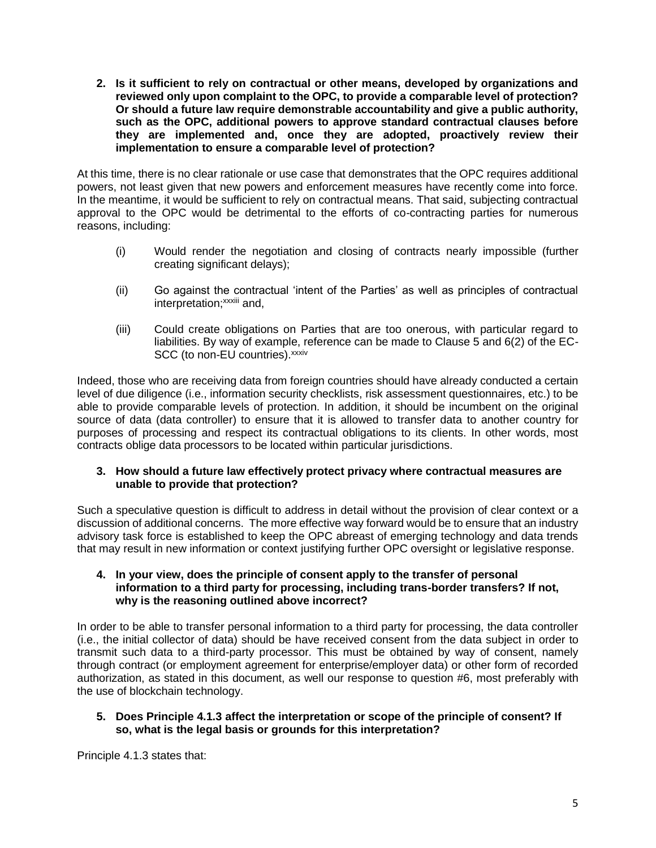**2. Is it sufficient to rely on contractual or other means, developed by organizations and reviewed only upon complaint to the OPC, to provide a comparable level of protection? Or should a future law require demonstrable accountability and give a public authority, such as the OPC, additional powers to approve standard contractual clauses before they are implemented and, once they are adopted, proactively review their implementation to ensure a comparable level of protection?**

At this time, there is no clear rationale or use case that demonstrates that the OPC requires additional powers, not least given that new powers and enforcement measures have recently come into force. In the meantime, it would be sufficient to rely on contractual means. That said, subjecting contractual approval to the OPC would be detrimental to the efforts of co-contracting parties for numerous reasons, including:

- (i) Would render the negotiation and closing of contracts nearly impossible (further creating significant delays);
- (ii) Go against the contractual 'intent of the Parties' as well as principles of contractual interpretation;<sup>xxxiii</sup> and,
- (iii) Could create obligations on Parties that are too onerous, with particular regard to liabilities. By way of example, reference can be made to Clause 5 and 6(2) of the EC-SCC (to non-EU countries). xxxiv

Indeed, those who are receiving data from foreign countries should have already conducted a certain level of due diligence (i.e., information security checklists, risk assessment questionnaires, etc.) to be able to provide comparable levels of protection. In addition, it should be incumbent on the original source of data (data controller) to ensure that it is allowed to transfer data to another country for purposes of processing and respect its contractual obligations to its clients. In other words, most contracts oblige data processors to be located within particular jurisdictions.

## **3. How should a future law effectively protect privacy where contractual measures are unable to provide that protection?**

Such a speculative question is difficult to address in detail without the provision of clear context or a discussion of additional concerns. The more effective way forward would be to ensure that an industry advisory task force is established to keep the OPC abreast of emerging technology and data trends that may result in new information or context justifying further OPC oversight or legislative response.

### **4. In your view, does the principle of consent apply to the transfer of personal information to a third party for processing, including trans-border transfers? If not, why is the reasoning outlined above incorrect?**

In order to be able to transfer personal information to a third party for processing, the data controller (i.e., the initial collector of data) should be have received consent from the data subject in order to transmit such data to a third-party processor. This must be obtained by way of consent, namely through contract (or employment agreement for enterprise/employer data) or other form of recorded authorization, as stated in this document, as well our response to question #6, most preferably with the use of blockchain technology.

## **5. Does Principle 4.1.3 affect the interpretation or scope of the principle of consent? If so, what is the legal basis or grounds for this interpretation?**

Principle 4.1.3 states that: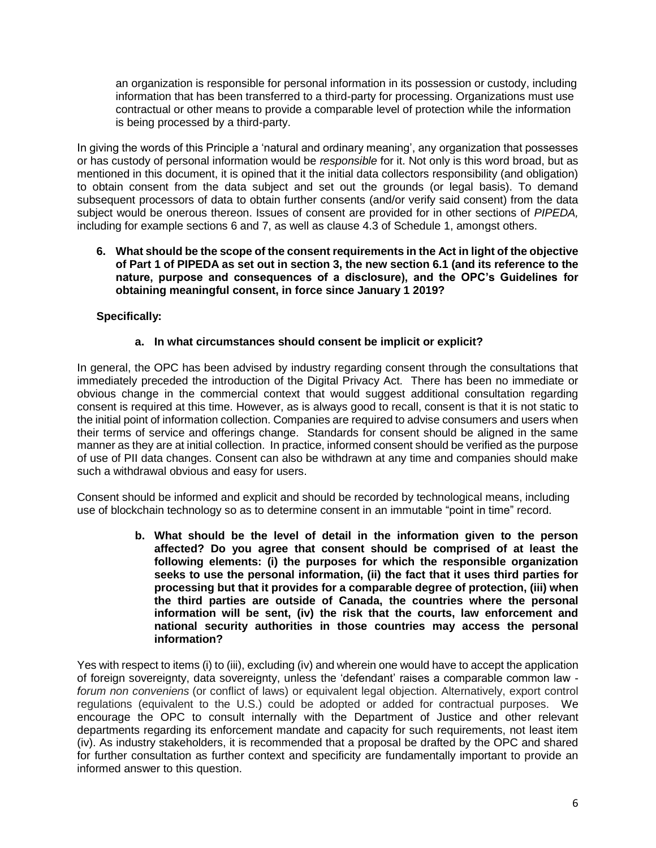an organization is responsible for personal information in its possession or custody, including information that has been transferred to a third-party for processing. Organizations must use contractual or other means to provide a comparable level of protection while the information is being processed by a third-party.

In giving the words of this Principle a 'natural and ordinary meaning', any organization that possesses or has custody of personal information would be *responsible* for it. Not only is this word broad, but as mentioned in this document, it is opined that it the initial data collectors responsibility (and obligation) to obtain consent from the data subject and set out the grounds (or legal basis). To demand subsequent processors of data to obtain further consents (and/or verify said consent) from the data subject would be onerous thereon. Issues of consent are provided for in other sections of *PIPEDA,* including for example sections 6 and 7, as well as clause 4.3 of Schedule 1, amongst others.

**6. What should be the scope of the consent requirements in the Act in light of the objective of Part 1 of PIPEDA as set out in section 3, the new section 6.1 (and its reference to the nature, purpose and consequences of a disclosure), and the OPC's Guidelines for obtaining meaningful consent, in force since January 1 2019?** 

## **Specifically:**

## **a. In what circumstances should consent be implicit or explicit?**

In general, the OPC has been advised by industry regarding consent through the consultations that immediately preceded the introduction of the Digital Privacy Act. There has been no immediate or obvious change in the commercial context that would suggest additional consultation regarding consent is required at this time. However, as is always good to recall, consent is that it is not static to the initial point of information collection. Companies are required to advise consumers and users when their terms of service and offerings change. Standards for consent should be aligned in the same manner as they are at initial collection. In practice, informed consent should be verified as the purpose of use of PII data changes. Consent can also be withdrawn at any time and companies should make such a withdrawal obvious and easy for users.

Consent should be informed and explicit and should be recorded by technological means, including use of blockchain technology so as to determine consent in an immutable "point in time" record.

> **b. What should be the level of detail in the information given to the person affected? Do you agree that consent should be comprised of at least the following elements: (i) the purposes for which the responsible organization seeks to use the personal information, (ii) the fact that it uses third parties for processing but that it provides for a comparable degree of protection, (iii) when the third parties are outside of Canada, the countries where the personal information will be sent, (iv) the risk that the courts, law enforcement and national security authorities in those countries may access the personal information?**

Yes with respect to items (i) to (iii), excluding (iv) and wherein one would have to accept the application of foreign sovereignty, data sovereignty, unless the 'defendant' raises a comparable common law *forum non conveniens* (or conflict of laws) or equivalent legal objection. Alternatively, export control regulations (equivalent to the U.S.) could be adopted or added for contractual purposes. We encourage the OPC to consult internally with the Department of Justice and other relevant departments regarding its enforcement mandate and capacity for such requirements, not least item (iv). As industry stakeholders, it is recommended that a proposal be drafted by the OPC and shared for further consultation as further context and specificity are fundamentally important to provide an informed answer to this question.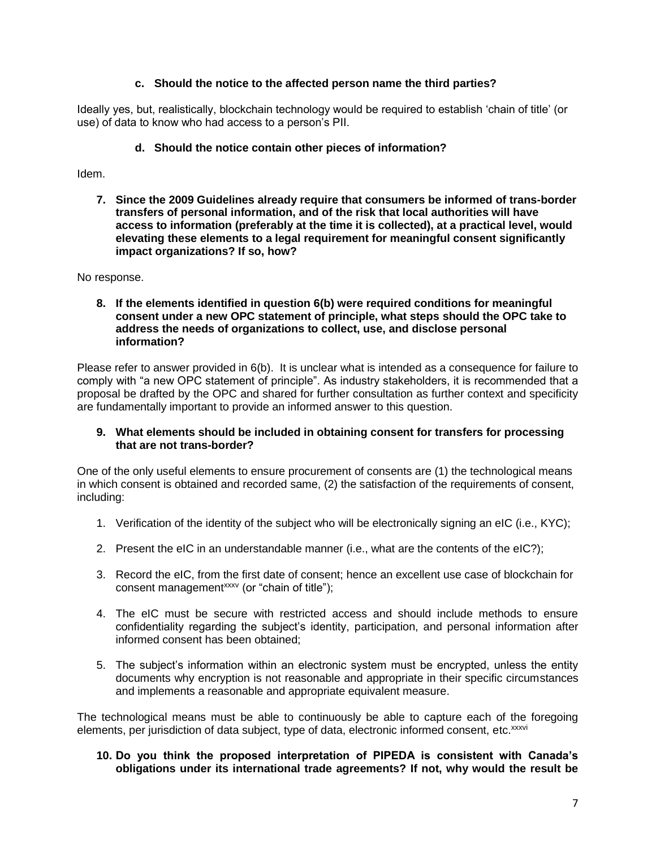## **c. Should the notice to the affected person name the third parties?**

Ideally yes, but, realistically, blockchain technology would be required to establish 'chain of title' (or use) of data to know who had access to a person's PII.

## **d. Should the notice contain other pieces of information?**

Idem.

**7. Since the 2009 Guidelines already require that consumers be informed of trans-border transfers of personal information, and of the risk that local authorities will have access to information (preferably at the time it is collected), at a practical level, would elevating these elements to a legal requirement for meaningful consent significantly impact organizations? If so, how?**

No response.

**8. If the elements identified in question 6(b) were required conditions for meaningful consent under a new OPC statement of principle, what steps should the OPC take to address the needs of organizations to collect, use, and disclose personal information?**

Please refer to answer provided in 6(b). It is unclear what is intended as a consequence for failure to comply with "a new OPC statement of principle". As industry stakeholders, it is recommended that a proposal be drafted by the OPC and shared for further consultation as further context and specificity are fundamentally important to provide an informed answer to this question.

### **9. What elements should be included in obtaining consent for transfers for processing that are not trans-border?**

One of the only useful elements to ensure procurement of consents are (1) the technological means in which consent is obtained and recorded same, (2) the satisfaction of the requirements of consent, including:

- 1. Verification of the identity of the subject who will be electronically signing an eIC (i.e., KYC);
- 2. Present the eIC in an understandable manner (i.e., what are the contents of the eIC?);
- 3. Record the eIC, from the first date of consent; hence an excellent use case of blockchain for consent management<sup>xxxv</sup> (or "chain of title");
- 4. The eIC must be secure with restricted access and should include methods to ensure confidentiality regarding the subject's identity, participation, and personal information after informed consent has been obtained;
- 5. The subject's information within an electronic system must be encrypted, unless the entity documents why encryption is not reasonable and appropriate in their specific circumstances and implements a reasonable and appropriate equivalent measure.

The technological means must be able to continuously be able to capture each of the foregoing elements, per jurisdiction of data subject, type of data, electronic informed consent, etc.xxxvi

### **10. Do you think the proposed interpretation of PIPEDA is consistent with Canada's obligations under its international trade agreements? If not, why would the result be**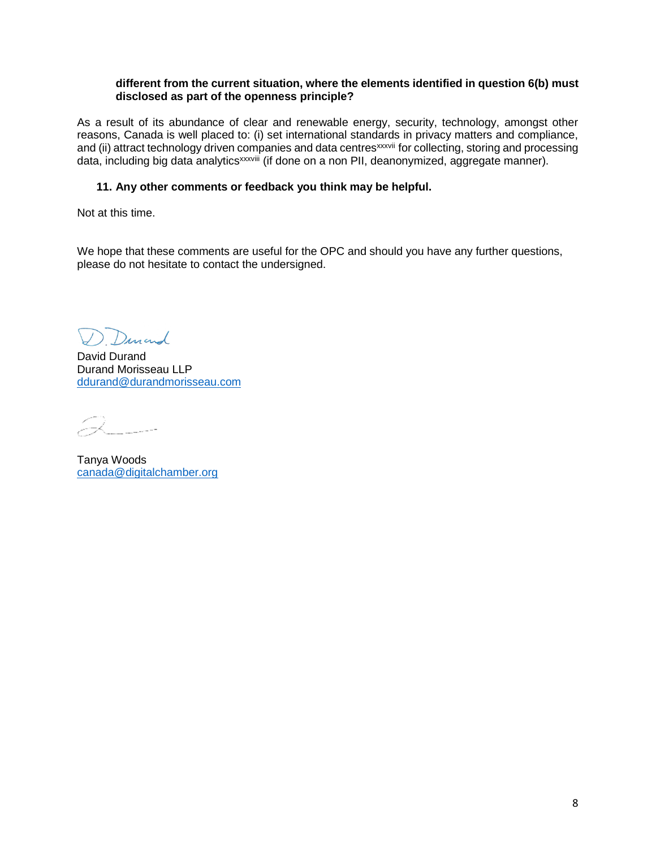#### **different from the current situation, where the elements identified in question 6(b) must disclosed as part of the openness principle?**

As a result of its abundance of clear and renewable energy, security, technology, amongst other reasons, Canada is well placed to: (i) set international standards in privacy matters and compliance, and (ii) attract technology driven companies and data centres<sup>xxxvii</sup> for collecting, storing and processing data, including big data analytics<sup>xxxviii</sup> (if done on a non PII, deanonymized, aggregate manner).

### **11. Any other comments or feedback you think may be helpful.**

Not at this time.

We hope that these comments are useful for the OPC and should you have any further questions, please do not hesitate to contact the undersigned.

Dunand

David Durand Durand Morisseau LLP [ddurand@durandmorisseau.com](mailto:ddurand@durandmorisseau.com)

Q

Tanya Woods [canada@digitalchamber.org](mailto:canada@digitalchamber.org)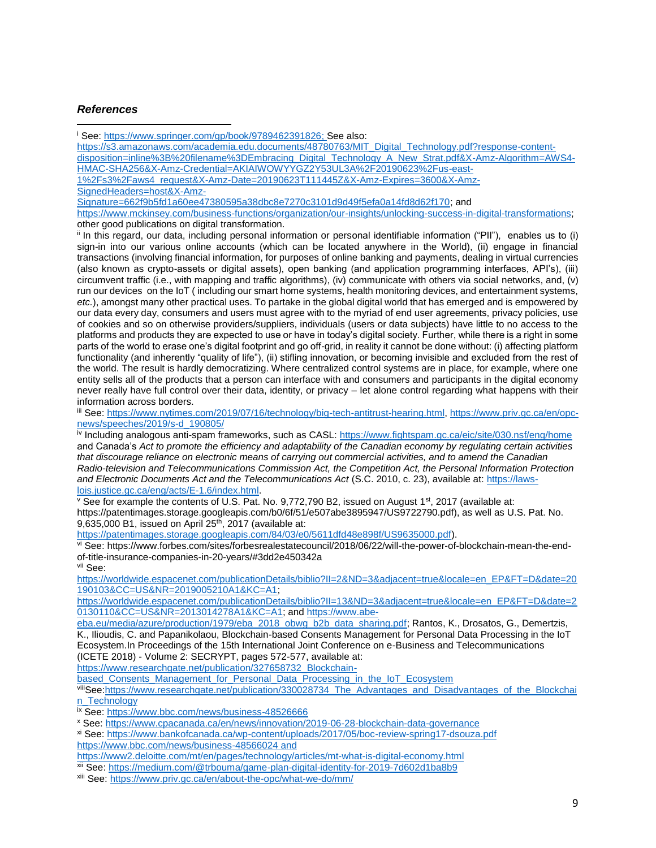#### *References*

<sup>i</sup> See: [https://www.springer.com/gp/book/9789462391826;](https://www.springer.com/gp/book/9789462391826) See also:  $\overline{\phantom{a}}$ 

[https://s3.amazonaws.com/academia.edu.documents/48780763/MIT\\_Digital\\_Technology.pdf?response-content](https://s3.amazonaws.com/academia.edu.documents/48780763/MIT_Digital_Technology.pdf?response-content-disposition=inline%3B%20filename%3DEmbracing_Digital_Technology_A_New_Strat.pdf&X-Amz-Algorithm=AWS4-HMAC-SHA256&X-Amz-Credential=AKIAIWOWYYGZ2Y53UL3A%2F20190623%2Fus-east-1%2Fs3%2Faws4_request&X-Amz-Date=20190623T111445Z&X-Amz-Expires=3600&X-Amz-SignedHeaders=host&X-Amz-Signature=662f9b5fd1a60ee47380595a38dbc8e7270c3101d9d49f5efa0a14fd8d62f170)[disposition=inline%3B%20filename%3DEmbracing\\_Digital\\_Technology\\_A\\_New\\_Strat.pdf&X-Amz-Algorithm=AWS4-](https://s3.amazonaws.com/academia.edu.documents/48780763/MIT_Digital_Technology.pdf?response-content-disposition=inline%3B%20filename%3DEmbracing_Digital_Technology_A_New_Strat.pdf&X-Amz-Algorithm=AWS4-HMAC-SHA256&X-Amz-Credential=AKIAIWOWYYGZ2Y53UL3A%2F20190623%2Fus-east-1%2Fs3%2Faws4_request&X-Amz-Date=20190623T111445Z&X-Amz-Expires=3600&X-Amz-SignedHeaders=host&X-Amz-Signature=662f9b5fd1a60ee47380595a38dbc8e7270c3101d9d49f5efa0a14fd8d62f170) [HMAC-SHA256&X-Amz-Credential=AKIAIWOWYYGZ2Y53UL3A%2F20190623%2Fus-east-](https://s3.amazonaws.com/academia.edu.documents/48780763/MIT_Digital_Technology.pdf?response-content-disposition=inline%3B%20filename%3DEmbracing_Digital_Technology_A_New_Strat.pdf&X-Amz-Algorithm=AWS4-HMAC-SHA256&X-Amz-Credential=AKIAIWOWYYGZ2Y53UL3A%2F20190623%2Fus-east-1%2Fs3%2Faws4_request&X-Amz-Date=20190623T111445Z&X-Amz-Expires=3600&X-Amz-SignedHeaders=host&X-Amz-Signature=662f9b5fd1a60ee47380595a38dbc8e7270c3101d9d49f5efa0a14fd8d62f170)[1%2Fs3%2Faws4\\_request&X-Amz-Date=20190623T111445Z&X-Amz-Expires=3600&X-Amz-](https://s3.amazonaws.com/academia.edu.documents/48780763/MIT_Digital_Technology.pdf?response-content-disposition=inline%3B%20filename%3DEmbracing_Digital_Technology_A_New_Strat.pdf&X-Amz-Algorithm=AWS4-HMAC-SHA256&X-Amz-Credential=AKIAIWOWYYGZ2Y53UL3A%2F20190623%2Fus-east-1%2Fs3%2Faws4_request&X-Amz-Date=20190623T111445Z&X-Amz-Expires=3600&X-Amz-SignedHeaders=host&X-Amz-Signature=662f9b5fd1a60ee47380595a38dbc8e7270c3101d9d49f5efa0a14fd8d62f170)[SignedHeaders=host&X-Amz-](https://s3.amazonaws.com/academia.edu.documents/48780763/MIT_Digital_Technology.pdf?response-content-disposition=inline%3B%20filename%3DEmbracing_Digital_Technology_A_New_Strat.pdf&X-Amz-Algorithm=AWS4-HMAC-SHA256&X-Amz-Credential=AKIAIWOWYYGZ2Y53UL3A%2F20190623%2Fus-east-1%2Fs3%2Faws4_request&X-Amz-Date=20190623T111445Z&X-Amz-Expires=3600&X-Amz-SignedHeaders=host&X-Amz-Signature=662f9b5fd1a60ee47380595a38dbc8e7270c3101d9d49f5efa0a14fd8d62f170)[Signature=662f9b5fd1a60ee47380595a38dbc8e7270c3101d9d49f5efa0a14fd8d62f170;](https://s3.amazonaws.com/academia.edu.documents/48780763/MIT_Digital_Technology.pdf?response-content-disposition=inline%3B%20filename%3DEmbracing_Digital_Technology_A_New_Strat.pdf&X-Amz-Algorithm=AWS4-HMAC-SHA256&X-Amz-Credential=AKIAIWOWYYGZ2Y53UL3A%2F20190623%2Fus-east-1%2Fs3%2Faws4_request&X-Amz-Date=20190623T111445Z&X-Amz-Expires=3600&X-Amz-SignedHeaders=host&X-Amz-Signature=662f9b5fd1a60ee47380595a38dbc8e7270c3101d9d49f5efa0a14fd8d62f170) and [https://www.mckinsey.com/business-functions/organization/our-insights/unlocking-success-in-digital-transformations;](https://www.mckinsey.com/business-functions/organization/our-insights/unlocking-success-in-digital-transformations)

other good publications on digital transformation.

ii In this regard, our data, including personal information or personal identifiable information ("PII"), enables us to (i) sign-in into our various online accounts (which can be located anywhere in the World), (ii) engage in financial transactions (involving financial information, for purposes of online banking and payments, dealing in virtual currencies (also known as crypto-assets or digital assets), open banking (and application programming interfaces, API's), (iii) circumvent traffic (i.e., with mapping and traffic algorithms), (iv) communicate with others via social networks, and, (v) run our devices on the IoT ( including our smart home systems, health monitoring devices, and entertainment systems, *etc.*), amongst many other practical uses. To partake in the global digital world that has emerged and is empowered by our data every day, consumers and users must agree with to the myriad of end user agreements, privacy policies, use of cookies and so on otherwise providers/suppliers, individuals (users or data subjects) have little to no access to the platforms and products they are expected to use or have in today's digital society. Further, while there is a right in some parts of the world to erase one's digital footprint and go off-grid, in reality it cannot be done without: (i) affecting platform functionality (and inherently "quality of life"), (ii) stifling innovation, or becoming invisible and excluded from the rest of the world. The result is hardly democratizing. Where centralized control systems are in place, for example, where one entity sells all of the products that a person can interface with and consumers and participants in the digital economy never really have full control over their data, identity, or privacy – let alone control regarding what happens with their information across borders.

iii See[: https://www.nytimes.com/2019/07/16/technology/big-tech-antitrust-hearing.html,](https://www.nytimes.com/2019/07/16/technology/big-tech-antitrust-hearing.html) [https://www.priv.gc.ca/en/opc](https://www.priv.gc.ca/en/opc-news/speeches/2019/s-d_190805/)[news/speeches/2019/s-d\\_190805/](https://www.priv.gc.ca/en/opc-news/speeches/2019/s-d_190805/)

iv Including analogous anti-spam frameworks, such as CASL:<https://www.fightspam.gc.ca/eic/site/030.nsf/eng/home> and Canada's *Act to promote the efficiency and adaptability of the Canadian economy by regulating certain activities that discourage reliance on electronic means of carrying out commercial activities, and to amend the Canadian Radio-television and Telecommunications Commission Act, the Competition Act, the Personal Information Protection and Electronic Documents Act and the Telecommunications Act* (S.C. 2010, c. 23), available at: [https://laws](https://laws-lois.justice.gc.ca/eng/acts/E-1.6/index.html)[lois.justice.gc.ca/eng/acts/E-1.6/index.html.](https://laws-lois.justice.gc.ca/eng/acts/E-1.6/index.html)

<sup>v</sup> See for example the contents of U.S. Pat. No. 9,772,790 B2, issued on August 1<sup>st</sup>, 2017 (available at: https://patentimages.storage.googleapis.com/b0/6f/51/e507abe3895947/US9722790.pdf), as well as U.S. Pat. No. 9,635,000 B1, issued on April  $25<sup>th</sup>$ , 2017 (available at:

[https://patentimages.storage.googleapis.com/84/03/e0/5611dfd48e898f/US9635000.pdf\)](https://patentimages.storage.googleapis.com/84/03/e0/5611dfd48e898f/US9635000.pdf).

vi See: https://www.forbes.com/sites/forbesrealestatecouncil/2018/06/22/will-the-power-of-blockchain-mean-the-endof-title-insurance-companies-in-20-years/#3dd2e450342a vii See:

[https://worldwide.espacenet.com/publicationDetails/biblio?II=2&ND=3&adjacent=true&locale=en\\_EP&FT=D&date=20](https://worldwide.espacenet.com/publicationDetails/biblio?II=2&ND=3&adjacent=true&locale=en_EP&FT=D&date=20190103&CC=US&NR=2019005210A1&KC=A1) [190103&CC=US&NR=2019005210A1&KC=A1;](https://worldwide.espacenet.com/publicationDetails/biblio?II=2&ND=3&adjacent=true&locale=en_EP&FT=D&date=20190103&CC=US&NR=2019005210A1&KC=A1)

[https://worldwide.espacenet.com/publicationDetails/biblio?II=13&ND=3&adjacent=true&locale=en\\_EP&FT=D&date=2](https://worldwide.espacenet.com/publicationDetails/biblio?II=13&ND=3&adjacent=true&locale=en_EP&FT=D&date=20130110&CC=US&NR=2013014278A1&KC=A1) [0130110&CC=US&NR=2013014278A1&KC=A1;](https://worldwide.espacenet.com/publicationDetails/biblio?II=13&ND=3&adjacent=true&locale=en_EP&FT=D&date=20130110&CC=US&NR=2013014278A1&KC=A1) an[d https://www.abe-](https://www.abe-eba.eu/media/azure/production/1979/eba_2018_obwg_b2b_data_sharing.pdf)

[eba.eu/media/azure/production/1979/eba\\_2018\\_obwg\\_b2b\\_data\\_sharing.pdf;](https://www.abe-eba.eu/media/azure/production/1979/eba_2018_obwg_b2b_data_sharing.pdf) Rantos, K., Drosatos, G., Demertzis, K., Ilioudis, C. and Papanikolaou, Blockchain-based Consents Management for Personal Data Processing in the IoT Ecosystem.In Proceedings of the 15th International Joint Conference on e-Business and Telecommunications (ICETE 2018) - Volume 2: SECRYPT, pages 572-577, available at:

[https://www.researchgate.net/publication/327658732\\_Blockchain-](https://www.researchgate.net/publication/327658732_Blockchain-based_Consents_Management_for_Personal_Data_Processing_in_the_IoT_Ecosystem)

[based\\_Consents\\_Management\\_for\\_Personal\\_Data\\_Processing\\_in\\_the\\_IoT\\_Ecosystem](https://www.researchgate.net/publication/327658732_Blockchain-based_Consents_Management_for_Personal_Data_Processing_in_the_IoT_Ecosystem)

viliSe[e:https://www.researchgate.net/publication/330028734\\_The\\_Advantages\\_and\\_Disadvantages\\_of\\_the\\_Blockchai](https://www.researchgate.net/publication/330028734_The_Advantages_and_Disadvantages_of_the_Blockchain_Technology) [n\\_Technology](https://www.researchgate.net/publication/330028734_The_Advantages_and_Disadvantages_of_the_Blockchain_Technology)

ix See:<https://www.bbc.com/news/business-48526666>

<sup>x</sup> See:<https://www.cpacanada.ca/en/news/innovation/2019-06-28-blockchain-data-governance>

xi See:<https://www.bankofcanada.ca/wp-content/uploads/2017/05/boc-review-spring17-dsouza.pdf> <https://www.bbc.com/news/business-48566024> and

<https://www2.deloitte.com/mt/en/pages/technology/articles/mt-what-is-digital-economy.html>

xii See:<https://medium.com/@trbouma/game-plan-digital-identity-for-2019-7d602d1ba8b9>

xiii See[: https://www.priv.gc.ca/en/about-the-opc/what-we-do/mm/](https://www.priv.gc.ca/en/about-the-opc/what-we-do/mm/)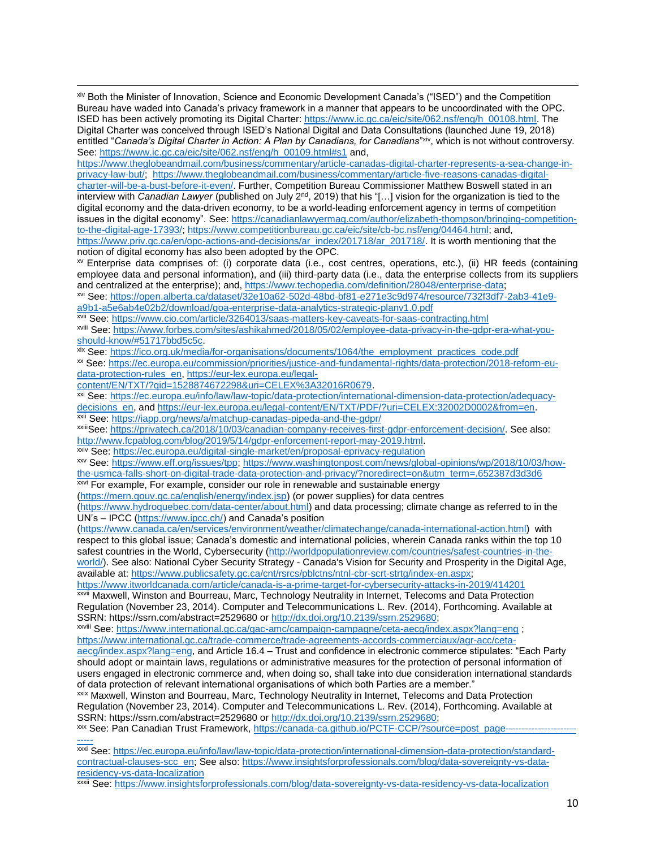xiv Both the Minister of Innovation, Science and Economic Development Canada's ("ISED") and the Competition Bureau have waded into Canada's privacy framework in a manner that appears to be uncoordinated with the OPC. ISED has been actively promoting its Digital Charter: [https://www.ic.gc.ca/eic/site/062.nsf/eng/h\\_00108.html.](https://www.ic.gc.ca/eic/site/062.nsf/eng/h_00108.html) The Digital Charter was conceived through ISED's National Digital and Data Consultations (launched June 19, 2018) entitled "*Canada's Digital Charter in Action: A Plan by Canadians, for Canadians"<sup>xiv</sup>, which is not without controversy.* See: [https://www.ic.gc.ca/eic/site/062.nsf/eng/h\\_00109.html#s1](https://www.ic.gc.ca/eic/site/062.nsf/eng/h_00109.html#s1) and,

[https://www.theglobeandmail.com/business/commentary/article-canadas-digital-charter-represents-a-sea-change-in](https://www.theglobeandmail.com/business/commentary/article-canadas-digital-charter-represents-a-sea-change-in-privacy-law-but/)[privacy-law-but/;](https://www.theglobeandmail.com/business/commentary/article-canadas-digital-charter-represents-a-sea-change-in-privacy-law-but/) [https://www.theglobeandmail.com/business/commentary/article-five-reasons-canadas-digital](https://www.theglobeandmail.com/business/commentary/article-five-reasons-canadas-digital-charter-will-be-a-bust-before-it-even/)[charter-will-be-a-bust-before-it-even/.](https://www.theglobeandmail.com/business/commentary/article-five-reasons-canadas-digital-charter-will-be-a-bust-before-it-even/) Further, Competition Bureau Commissioner Matthew Boswell stated in an interview with *Canadian Lawyer* (published on July 2<sup>nd</sup>, 2019) that his "[...] vision for the organization is tied to the digital economy and the data-driven economy, to be a world-leading enforcement agency in terms of competition issues in the digital economy". See: [https://canadianlawyermag.com/author/elizabeth-thompson/bringing-competition](https://canadianlawyermag.com/author/elizabeth-thompson/bringing-competition-to-the-digital-age-17393/)[to-the-digital-age-17393/;](https://canadianlawyermag.com/author/elizabeth-thompson/bringing-competition-to-the-digital-age-17393/) [https://www.competitionbureau.gc.ca/eic/site/cb-bc.nsf/eng/04464.html;](https://www.competitionbureau.gc.ca/eic/site/cb-bc.nsf/eng/04464.html) and, [https://www.priv.gc.ca/en/opc-actions-and-decisions/ar\\_index/201718/ar\\_201718/.](https://www.priv.gc.ca/en/opc-actions-and-decisions/ar_index/201718/ar_201718/) It is worth mentioning that the notion of digital economy has also been adopted by the OPC.

xv Enterprise data comprises of: (i) corporate data (i.e., cost centres, operations, etc.), (ii) HR feeds (containing employee data and personal information), and (iii) third-party data (i.e., data the enterprise collects from its suppliers and centralized at the enterprise); and[, https://www.techopedia.com/definition/28048/enterprise-data;](https://www.techopedia.com/definition/28048/enterprise-data)

xvi See: [https://open.alberta.ca/dataset/32e10a62-502d-48bd-bf81-e271e3c9d974/resource/732f3df7-2ab3-41e9](https://open.alberta.ca/dataset/32e10a62-502d-48bd-bf81-e271e3c9d974/resource/732f3df7-2ab3-41e9-a9b1-a5e6ab4e02b2/download/goa-enterprise-data-analytics-strategic-planv1.0.pdf) [a9b1-a5e6ab4e02b2/download/goa-enterprise-data-analytics-strategic-planv1.0.pdf](https://open.alberta.ca/dataset/32e10a62-502d-48bd-bf81-e271e3c9d974/resource/732f3df7-2ab3-41e9-a9b1-a5e6ab4e02b2/download/goa-enterprise-data-analytics-strategic-planv1.0.pdf)

xvii See:<https://www.cio.com/article/3264013/saas-matters-key-caveats-for-saas-contracting.html>

xviii See[: https://www.forbes.com/sites/ashikahmed/2018/05/02/employee-data-privacy-in-the-gdpr-era-what-you](https://www.forbes.com/sites/ashikahmed/2018/05/02/employee-data-privacy-in-the-gdpr-era-what-you-should-know/#51717bbd5c5c)[should-know/#51717bbd5c5c.](https://www.forbes.com/sites/ashikahmed/2018/05/02/employee-data-privacy-in-the-gdpr-era-what-you-should-know/#51717bbd5c5c)

xix See: [https://ico.org.uk/media/for-organisations/documents/1064/the\\_employment\\_practices\\_code.pdf](https://ico.org.uk/media/for-organisations/documents/1064/the_employment_practices_code.pdf)

xx See: [https://ec.europa.eu/commission/priorities/justice-and-fundamental-rights/data-protection/2018-reform-eu](https://ec.europa.eu/commission/priorities/justice-and-fundamental-rights/data-protection/2018-reform-eu-data-protection-rules_en)[data-protection-rules\\_en,](https://ec.europa.eu/commission/priorities/justice-and-fundamental-rights/data-protection/2018-reform-eu-data-protection-rules_en) [https://eur-lex.europa.eu/legal-](https://eur-lex.europa.eu/legal-content/EN/TXT/?qid=1528874672298&uri=CELEX%3A32016R0679)

[content/EN/TXT/?qid=1528874672298&uri=CELEX%3A32016R0679.](https://eur-lex.europa.eu/legal-content/EN/TXT/?qid=1528874672298&uri=CELEX%3A32016R0679)

 $\overline{\phantom{a}}$ 

xxi See: [https://ec.europa.eu/info/law/law-topic/data-protection/international-dimension-data-protection/adequacy](https://ec.europa.eu/info/law/law-topic/data-protection/international-dimension-data-protection/adequacy-decisions_en)[decisions\\_en,](https://ec.europa.eu/info/law/law-topic/data-protection/international-dimension-data-protection/adequacy-decisions_en) and https://eur-lex.europa.eu/legal-content/EN/TXT/PDF/?uri=CELEX:32002D0002&from=en. xxii See:<https://iapp.org/news/a/matchup-canadas-pipeda-and-the-gdpr/>

xxiiiSee: [https://privatech.ca/2018/10/03/canadian-company-receives-first-gdpr-enforcement-decision/.](https://privatech.ca/2018/10/03/canadian-company-receives-first-gdpr-enforcement-decision/) See also: [http://www.fcpablog.com/blog/2019/5/14/gdpr-enforcement-report-may-2019.html.](http://www.fcpablog.com/blog/2019/5/14/gdpr-enforcement-report-may-2019.html)

xxiv See:<https://ec.europa.eu/digital-single-market/en/proposal-eprivacy-regulation>

xxv See: [https://www.eff.org/issues/tpp;](https://www.eff.org/issues/tpp) [https://www.washingtonpost.com/news/global-opinions/wp/2018/10/03/how](https://www.washingtonpost.com/news/global-opinions/wp/2018/10/03/how-the-usmca-falls-short-on-digital-trade-data-protection-and-privacy/?noredirect=on&utm_term=.652387d3d3d6)[the-usmca-falls-short-on-digital-trade-data-protection-and-privacy/?noredirect=on&utm\\_term=.652387d3d3d6](https://www.washingtonpost.com/news/global-opinions/wp/2018/10/03/how-the-usmca-falls-short-on-digital-trade-data-protection-and-privacy/?noredirect=on&utm_term=.652387d3d3d6)

**XXVI For example, For example, consider our role in renewable and sustainable energy** 

[\(https://mern.gouv.qc.ca/english/energy/index.jsp\)](https://mern.gouv.qc.ca/english/energy/index.jsp) (or power supplies) for data centres

[\(https://www.hydroquebec.com/data-center/about.html\)](https://www.hydroquebec.com/data-center/about.html) and data processing; climate change as referred to in the UN's – IPCC [\(https://www.ipcc.ch/\)](https://www.ipcc.ch/) and Canada's position

[\(https://www.canada.ca/en/services/environment/weather/climatechange/canada-international-action.html\)](https://www.canada.ca/en/services/environment/weather/climatechange/canada-international-action.html) with respect to this global issue; Canada's domestic and international policies, wherein Canada ranks within the top 10 safest countries in the World, Cybersecurity [\(http://worldpopulationreview.com/countries/safest-countries-in-the](http://worldpopulationreview.com/countries/safest-countries-in-the-world/)[world/\)](http://worldpopulationreview.com/countries/safest-countries-in-the-world/). See also: National Cyber Security Strategy - Canada's Vision for Security and Prosperity in the Digital Age, available at[: https://www.publicsafety.gc.ca/cnt/rsrcs/pblctns/ntnl-cbr-scrt-strtg/index-en.aspx;](https://www.publicsafety.gc.ca/cnt/rsrcs/pblctns/ntnl-cbr-scrt-strtg/index-en.aspx)

<https://www.itworldcanada.com/article/canada-is-a-prime-target-for-cybersecurity-attacks-in-2019/414201> xxvii Maxwell, Winston and Bourreau, Marc, Technology Neutrality in Internet, Telecoms and Data Protection Regulation (November 23, 2014). Computer and Telecommunications L. Rev. (2014), Forthcoming. Available at SSRN: https://ssrn.com/abstract=2529680 or [http://dx.doi.org/10.2139/ssrn.2529680;](http://dx.doi.org/10.2139/ssrn.2529680)

xxviii See[: https://www.international.gc.ca/gac-amc/campaign-campagne/ceta-aecg/index.aspx?lang=eng](https://www.international.gc.ca/gac-amc/campaign-campagne/ceta-aecg/index.aspx?lang=eng) ; [https://www.international.gc.ca/trade-commerce/trade-agreements-accords-commerciaux/agr-acc/ceta-](https://www.international.gc.ca/trade-commerce/trade-agreements-accords-commerciaux/agr-acc/ceta-aecg/index.aspx?lang=eng)

[aecg/index.aspx?lang=eng,](https://www.international.gc.ca/trade-commerce/trade-agreements-accords-commerciaux/agr-acc/ceta-aecg/index.aspx?lang=eng) and Article 16.4 – Trust and confidence in electronic commerce stipulates: "Each Party should adopt or maintain laws, regulations or administrative measures for the protection of personal information of users engaged in electronic commerce and, when doing so, shall take into due consideration international standards of data protection of relevant international organisations of which both Parties are a member."

xxix Maxwell, Winston and Bourreau, Marc, Technology Neutrality in Internet, Telecoms and Data Protection Regulation (November 23, 2014). Computer and Telecommunications L. Rev. (2014), Forthcoming. Available at SSRN: https://ssrn.com/abstract=2529680 or [http://dx.doi.org/10.2139/ssrn.2529680;](http://dx.doi.org/10.2139/ssrn.2529680)

xxx See: Pan Canadian Trust Framework, [https://canada-ca.github.io/PCTF-CCP/?source=post\\_page----------------------](https://canada-ca.github.io/PCTF-CCP/?source=post_page---------------------------) [-----](https://canada-ca.github.io/PCTF-CCP/?source=post_page---------------------------)

xxxi See: [https://ec.europa.eu/info/law/law-topic/data-protection/international-dimension-data-protection/standard](https://ec.europa.eu/info/law/law-topic/data-protection/international-dimension-data-protection/standard-contractual-clauses-scc_en)[contractual-clauses-scc\\_en;](https://ec.europa.eu/info/law/law-topic/data-protection/international-dimension-data-protection/standard-contractual-clauses-scc_en) See also: [https://www.insightsforprofessionals.com/blog/data-sovereignty-vs-data](https://www.insightsforprofessionals.com/blog/data-sovereignty-vs-data-residency-vs-data-localization)[residency-vs-data-localization](https://www.insightsforprofessionals.com/blog/data-sovereignty-vs-data-residency-vs-data-localization)

xxxii See:<https://www.insightsforprofessionals.com/blog/data-sovereignty-vs-data-residency-vs-data-localization>